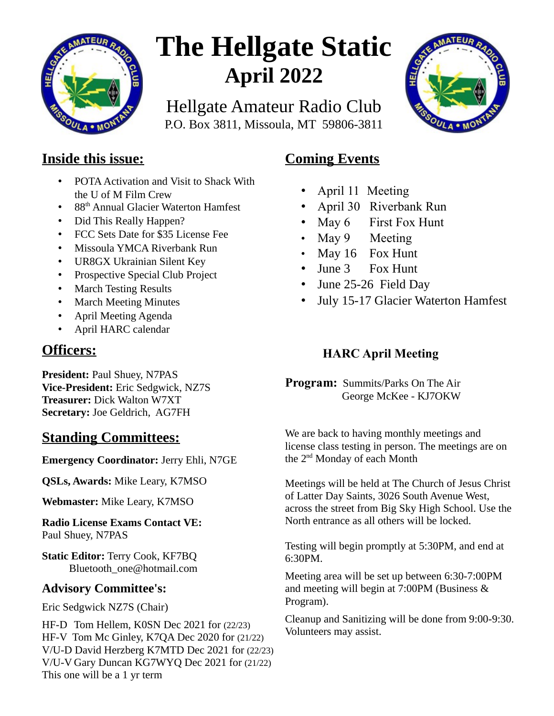

# **The Hellgate Static April 2022**

Hellgate Amateur Radio Club P.O. Box 3811, Missoula, MT 59806-3811



### **Inside this issue:**

- POTA Activation and Visit to Shack With the U of M Film Crew
- 88<sup>th</sup> Annual Glacier Waterton Hamfest
- Did This Really Happen?
- FCC Sets Date for \$35 License Fee
- Missoula YMCA Riverbank Run
- UR8GX Ukrainian Silent Key
- Prospective Special Club Project
- March Testing Results
- March Meeting Minutes
- April Meeting Agenda
- April HARC calendar

# **Officers:**

**President: Paul Shuey, N7PAS Vice-President:** Eric Sedgwick, NZ7S **Treasurer:** Dick Walton W7XT **Secretary:** Joe Geldrich, AG7FH

# **Standing Committees:**

**Emergency Coordinator:** Jerry Ehli, N7GE

**QSLs, Awards:** Mike Leary, K7MSO

**Webmaster:** Mike Leary, K7MSO

**Radio License Exams Contact VE:** Paul Shuey, N7PAS

**Static Editor:** Terry Cook, KF7BQ Bluetooth\_one@hotmail.com

### **Advisory Committee's:**

Eric Sedgwick NZ7S (Chair)

HF-D Tom Hellem, K0SN Dec 2021 for (22/23) HF-V Tom Mc Ginley, K7QA Dec 2020 for (21/22) V/U-D David Herzberg K7MTD Dec 2021 for (22/23) V/U-V Gary Duncan KG7WYQ Dec 2021 for (21/22) This one will be a 1 yr term

# **Coming Events**

- April 11 Meeting
- April 30 Riverbank Run
- May 6 First Fox Hunt
- May 9 Meeting
- May 16 Fox Hunt
- June 3 Fox Hunt
- June 25-26 Field Day
- July 15-17 Glacier Waterton Hamfest

# **HARC April Meeting**

**Program:** Summits/Parks On The Air George McKee - KJ7OKW

We are back to having monthly meetings and license class testing in person. The meetings are on the 2nd Monday of each Month

Meetings will be held at The Church of Jesus Christ of Latter Day Saints, 3026 South Avenue West, across the street from Big Sky High School. Use the North entrance as all others will be locked.

Testing will begin promptly at 5:30PM, and end at 6:30PM.

Meeting area will be set up between 6:30-7:00PM and meeting will begin at 7:00PM (Business & Program).

Cleanup and Sanitizing will be done from 9:00-9:30. Volunteers may assist.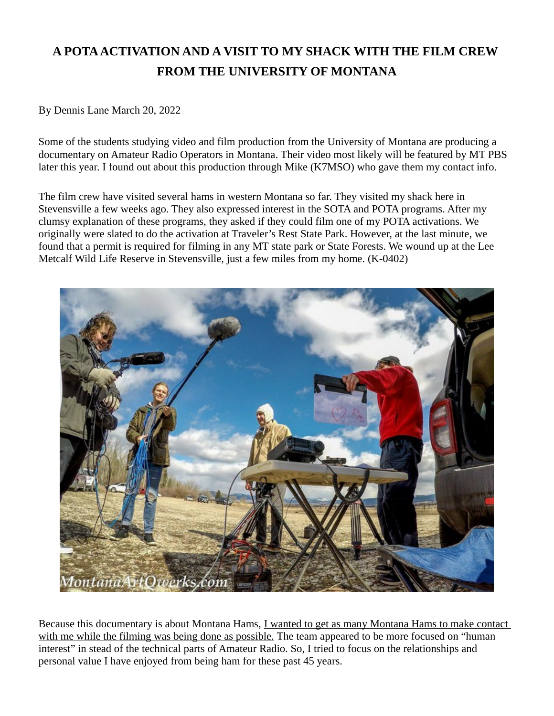# **A POTA ACTIVATION AND A VISIT TO MY SHACK WITH THE FILM CREW FROM THE UNIVERSITY OF MONTANA**

By Dennis Lane March 20, 2022

Some of the students studying video and film production from the University of Montana are producing a documentary on Amateur Radio Operators in Montana. Their video most likely will be featured by MT PBS later this year. I found out about this production through Mike (K7MSO) who gave them my contact info.

The film crew have visited several hams in western Montana so far. They visited my shack here in Stevensville a few weeks ago. They also expressed interest in the SOTA and POTA programs. After my clumsy explanation of these programs, they asked if they could film one of my POTA activations. We originally were slated to do the activation at Traveler's Rest State Park. However, at the last minute, we found that a permit is required for filming in any MT state park or State Forests. We wound up at the Lee Metcalf Wild Life Reserve in Stevensville, just a few miles from my home. (K-0402)



Because this documentary is about Montana Hams, I wanted to get as many Montana Hams to make contact with me while the filming was being done as possible. The team appeared to be more focused on "human interest" in stead of the technical parts of Amateur Radio. So, I tried to focus on the relationships and personal value I have enjoyed from being ham for these past 45 years.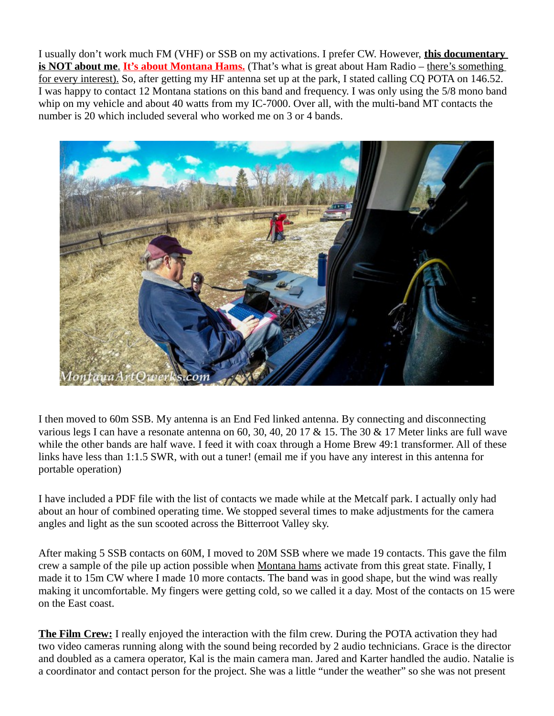I usually don't work much FM (VHF) or SSB on my activations. I prefer CW. However, **this documentary is NOT about me. It's about Montana Hams.** (That's what is great about Ham Radio – there's something for every interest). So, after getting my HF antenna set up at the park, I stated calling CQ POTA on 146.52. I was happy to contact 12 Montana stations on this band and frequency. I was only using the 5/8 mono band whip on my vehicle and about 40 watts from my IC-7000. Over all, with the multi-band MT contacts the number is 20 which included several who worked me on 3 or 4 bands.



I then moved to 60m SSB. My antenna is an End Fed linked antenna. By connecting and disconnecting various legs I can have a resonate antenna on 60, 30, 40, 20 17 & 15. The 30 & 17 Meter links are full wave while the other bands are half wave. I feed it with coax through a Home Brew 49:1 transformer. All of these links have less than 1:1.5 SWR, with out a tuner! (email me if you have any interest in this antenna for portable operation)

I have included a PDF file with the list of contacts we made while at the Metcalf park. I actually only had about an hour of combined operating time. We stopped several times to make adjustments for the camera angles and light as the sun scooted across the Bitterroot Valley sky.

After making 5 SSB contacts on 60M, I moved to 20M SSB where we made 19 contacts. This gave the film crew a sample of the pile up action possible when Montana hams activate from this great state. Finally, I made it to 15m CW where I made 10 more contacts. The band was in good shape, but the wind was really making it uncomfortable. My fingers were getting cold, so we called it a day. Most of the contacts on 15 were on the East coast.

**The Film Crew:** I really enjoyed the interaction with the film crew. During the POTA activation they had two video cameras running along with the sound being recorded by 2 audio technicians. Grace is the director and doubled as a camera operator, Kal is the main camera man. Jared and Karter handled the audio. Natalie is a coordinator and contact person for the project. She was a little "under the weather" so she was not present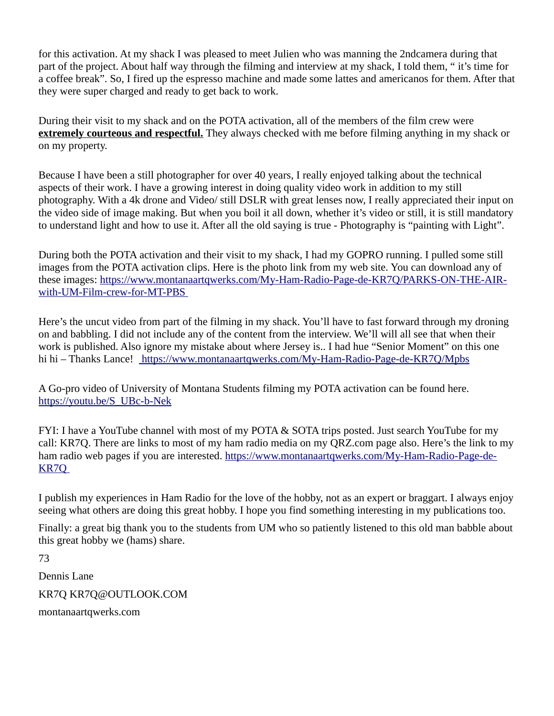for this activation. At my shack I was pleased to meet Julien who was manning the 2ndcamera during that part of the project. About half way through the filming and interview at my shack, I told them, " it's time for a coffee break". So, I fired up the espresso machine and made some lattes and americanos for them. After that they were super charged and ready to get back to work.

During their visit to my shack and on the POTA activation, all of the members of the film crew were **extremely courteous and respectful.** They always checked with me before filming anything in my shack or on my property.

Because I have been a still photographer for over 40 years, I really enjoyed talking about the technical aspects of their work. I have a growing interest in doing quality video work in addition to my still photography. With a 4k drone and Video/ still DSLR with great lenses now, I really appreciated their input on the video side of image making. But when you boil it all down, whether it's video or still, it is still mandatory to understand light and how to use it. After all the old saying is true - Photography is "painting with Light".

During both the POTA activation and their visit to my shack, I had my GOPRO running. I pulled some still images from the POTA activation clips. Here is the photo link from my web site. You can download any of these images: [https://www.montanaartqwerks.com/My-Ham-Radio-Page-de-KR7Q/PARKS-ON-THE-AIR](https://www.montanaartqwerks.com/My-Ham-Radio-Page-de-KR7Q/PARKS-ON-THE-AIR-with-UM-Film-crew-for-MT-PBS%20)[with-UM-Film-crew-for-MT-PBS](https://www.montanaartqwerks.com/My-Ham-Radio-Page-de-KR7Q/PARKS-ON-THE-AIR-with-UM-Film-crew-for-MT-PBS%20) 

Here's the uncut video from part of the filming in my shack. You'll have to fast forward through my droning on and babbling. I did not include any of the content from the interview. We'll will all see that when their work is published. Also ignore my mistake about where Jersey is.. I had hue "Senior Moment" on this one hi hi – Thanks Lance! [https://www.montanaartqwerks.com/My-Ham-Radio-Page-de-KR7Q/Mpbs](file:///C:/Users/T/Desktop/Harc/Static%20issues/%20https://www.montanaartqwerks.com/My-Ham-Radio-Page-de-KR7Q/Mpbs)

A Go-pro video of University of Montana Students filming my POTA activation can be found here. [https://youtu.be/S\\_UBc-b-Nek](https://youtu.be/S_UBc-b-Nek)

FYI: I have a YouTube channel with most of my POTA & SOTA trips posted. Just search YouTube for my call: KR7Q. There are links to most of my ham radio media on my QRZ.com page also. Here's the link to my ham radio web pages if you are interested. [https://www.montanaartqwerks.com/My-Ham-Radio-Page-de-](https://www.montanaartqwerks.com/My-Ham-Radio-Page-de-KR7Q%20)[KR7Q](https://www.montanaartqwerks.com/My-Ham-Radio-Page-de-KR7Q%20) 

I publish my experiences in Ham Radio for the love of the hobby, not as an expert or braggart. I always enjoy seeing what others are doing this great hobby. I hope you find something interesting in my publications too.

Finally: a great big thank you to the students from UM who so patiently listened to this old man babble about this great hobby we (hams) share.

73 Dennis Lane KR7Q KR7Q@OUTLOOK.COM montanaartqwerks.com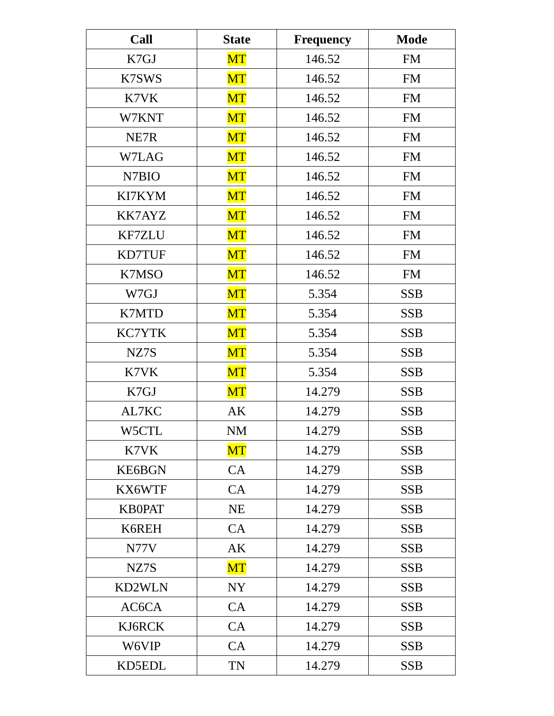| <b>Call</b>   | <b>State</b> | <b>Frequency</b> | <b>Mode</b> |  |
|---------------|--------------|------------------|-------------|--|
| K7GJ          | MT           | 146.52           | <b>FM</b>   |  |
| K7SWS         | MT           | 146.52           | <b>FM</b>   |  |
| K7VK          | MT           | 146.52           | <b>FM</b>   |  |
| W7KNT         | MT           | 146.52           | <b>FM</b>   |  |
| NE7R          | <b>MT</b>    | 146.52           | <b>FM</b>   |  |
| W7LAG         | MT           | 146.52           | <b>FM</b>   |  |
| N7BIO         | MT           | 146.52           | <b>FM</b>   |  |
| KI7KYM        | MT           | 146.52           | <b>FM</b>   |  |
| KK7AYZ        | MT           | 146.52           | <b>FM</b>   |  |
| <b>KF7ZLU</b> | <b>MT</b>    | 146.52           | <b>FM</b>   |  |
| <b>KD7TUF</b> | MT           | 146.52           | <b>FM</b>   |  |
| K7MSO         | MT           | 146.52           | <b>FM</b>   |  |
| W7GJ          | MT           | 5.354            | <b>SSB</b>  |  |
| K7MTD         | MT           | 5.354            | <b>SSB</b>  |  |
| <b>KC7YTK</b> | <b>MT</b>    | 5.354            | <b>SSB</b>  |  |
| NZ7S          | MT           | 5.354            | <b>SSB</b>  |  |
| K7VK          | MT           | 5.354            | <b>SSB</b>  |  |
| K7GJ          | MT           | 14.279           | <b>SSB</b>  |  |
| AL7KC         | AK           | 14.279           | <b>SSB</b>  |  |
| W5CTL         | NM           | 14.279           | <b>SSB</b>  |  |
| K7VK          | MT           | 14.279           | <b>SSB</b>  |  |
| <b>KE6BGN</b> | CA           | 14.279           | <b>SSB</b>  |  |
| KX6WTF        | CA           | 14.279           | <b>SSB</b>  |  |
| <b>KB0PAT</b> | NE           | 14.279           | <b>SSB</b>  |  |
| K6REH         | CA           | 14.279           | <b>SSB</b>  |  |
| N77V          | AK           | 14.279           | <b>SSB</b>  |  |
| NZ7S          | MT           | 14.279           | <b>SSB</b>  |  |
| KD2WLN        | NY           | 14.279           | <b>SSB</b>  |  |
| AC6CA         | CA           | 14.279           | <b>SSB</b>  |  |
| KJ6RCK        | CA           | 14.279           | <b>SSB</b>  |  |
| W6VIP         | CA           | 14.279           | <b>SSB</b>  |  |
| KD5EDL        | TN           | 14.279           | <b>SSB</b>  |  |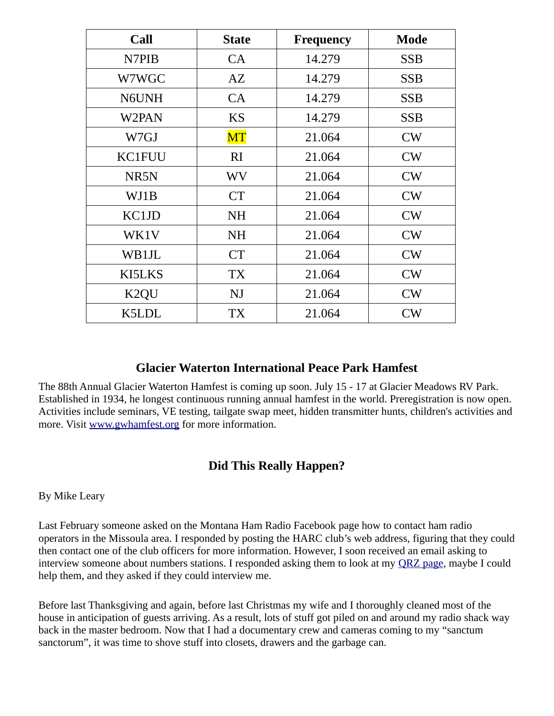| <b>Call</b>       | <b>State</b> | Frequency | <b>Mode</b> |
|-------------------|--------------|-----------|-------------|
| N7PIB             | <b>CA</b>    | 14.279    | <b>SSB</b>  |
| W7WGC             | AZ           | 14.279    | <b>SSB</b>  |
| N6UNH             | <b>CA</b>    | 14.279    | <b>SSB</b>  |
| W2PAN             | <b>KS</b>    | 14.279    | <b>SSB</b>  |
| W7GJ              | MT           | 21.064    | CW          |
| KC1FUU            | RI           | 21.064    | CW          |
| NR <sub>5</sub> N | <b>WV</b>    | 21.064    | CW          |
| WJ1B              | <b>CT</b>    | 21.064    | CW          |
| KC1JD             | <b>NH</b>    | 21.064    | CW          |
| WK1V              | NH           | 21.064    | CW          |
| WB1JL             | <b>CT</b>    | 21.064    | CW          |
| KI5LKS            | <b>TX</b>    | 21.064    | CW          |
| K <sub>2</sub> QU | NJ           | 21.064    | CW          |
| K5LDL             | <b>TX</b>    | 21.064    | CW          |

#### **Glacier Waterton International Peace Park Hamfest**

The 88th Annual Glacier Waterton Hamfest is coming up soon. July 15 - 17 at Glacier Meadows RV Park. Established in 1934, he longest continuous running annual hamfest in the world. Preregistration is now open. Activities include seminars, VE testing, tailgate swap meet, hidden transmitter hunts, children's activities and more. Visit [www.gwhamfest.org](http://gwhamfest.org/) for more information.

#### **Did This Really Happen?**

By Mike Leary

Last February someone asked on the Montana Ham Radio Facebook page how to contact ham radio operators in the Missoula area. I responded by posting the HARC club's web address, figuring that they could then contact one of the club officers for more information. However, I soon received an email asking to interview someone about numbers stations. I responded asking them to look at my [QRZ page,](https://www.qrz.com/db/k7mso) maybe I could help them, and they asked if they could interview me.

Before last Thanksgiving and again, before last Christmas my wife and I thoroughly cleaned most of the house in anticipation of guests arriving. As a result, lots of stuff got piled on and around my radio shack way back in the master bedroom. Now that I had a documentary crew and cameras coming to my "sanctum sanctorum", it was time to shove stuff into closets, drawers and the garbage can.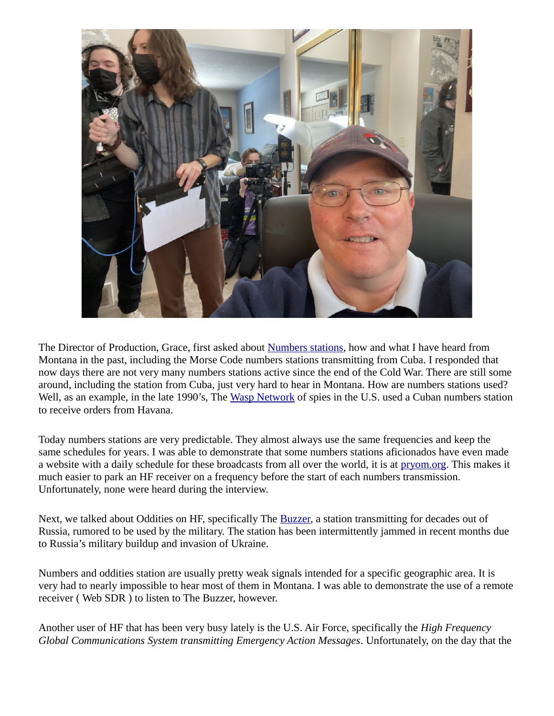

The Director of Production, Grace, first asked about [Numbers stations,](https://en.wikipedia.org/wiki/Numbers_statio) how and what I have heard from Montana in the past, including the Morse Code numbers stations transmitting from Cuba. I responded that now days there are not very many numbers stations active since the end of the Cold War. There are still some around, including the station from Cuba, just very hard to hear in Montana. How are numbers stations used? Well, as an example, in the late 1990's, The [Wasp Network](https://en.wikipedia.org/wiki/Cuban_Five) of spies in the U.S. used a Cuban numbers station to receive orders from Havana.

Today numbers stations are very predictable. They almost always use the same frequencies and keep the same schedules for years. I was able to demonstrate that some numbers stations aficionados have even made a website with a daily schedule for these broadcasts from all over the world, it is at [pryom.org.](https://priyom.org/number-stations/station-schedule) This makes it much easier to park an HF receiver on a frequency before the start of each numbers transmission. Unfortunately, none were heard during the interview.

Next, we talked about Oddities on HF, specifically The [Buzzer,](https://en.wikipedia.org/wiki/UVB-76) a station transmitting for decades out of Russia, rumored to be used by the military. The station has been intermittently jammed in recent months due to Russia's military buildup and invasion of Ukraine.

Numbers and oddities station are usually pretty weak signals intended for a specific geographic area. It is very had to nearly impossible to hear most of them in Montana. I was able to demonstrate the use of a remote receiver ( Web SDR ) to listen to The Buzzer, however.

Another user of HF that has been very busy lately is the U.S. Air Force, specifically the *High Frequency Global Communications System transmitting Emergency Action Messages*. Unfortunately, on the day that the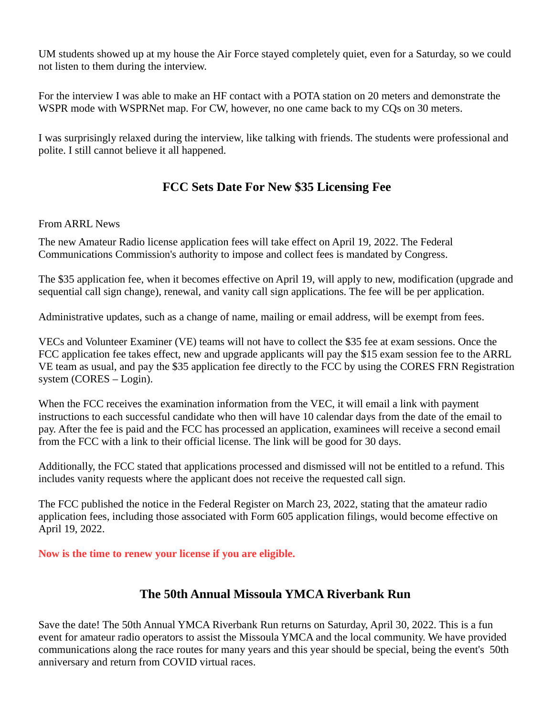UM students showed up at my house the Air Force stayed completely quiet, even for a Saturday, so we could not listen to them during the interview.

For the interview I was able to make an HF contact with a POTA station on 20 meters and demonstrate the WSPR mode with WSPRNet map. For CW, however, no one came back to my CQs on 30 meters.

I was surprisingly relaxed during the interview, like talking with friends. The students were professional and polite. I still cannot believe it all happened.

### **FCC Sets Date For New \$35 Licensing Fee**

#### From ARRL News

The new Amateur Radio license application fees will take effect on April 19, 2022. The Federal Communications Commission's authority to impose and collect fees is mandated by Congress.

The \$35 application fee, when it becomes effective on April 19, will apply to new, modification (upgrade and sequential call sign change), renewal, and vanity call sign applications. The fee will be per application.

Administrative updates, such as a change of name, mailing or email address, will be exempt from fees.

VECs and Volunteer Examiner (VE) teams will not have to collect the \$35 fee at exam sessions. Once the FCC application fee takes effect, new and upgrade applicants will pay the \$15 exam session fee to the ARRL VE team as usual, and pay the \$35 application fee directly to the FCC by using the CORES FRN Registration system (CORES – Login).

When the FCC receives the examination information from the VEC, it will email a link with payment instructions to each successful candidate who then will have 10 calendar days from the date of the email to pay. After the fee is paid and the FCC has processed an application, examinees will receive a second email from the FCC with a link to their official license. The link will be good for 30 days.

Additionally, the FCC stated that applications processed and dismissed will not be entitled to a refund. This includes vanity requests where the applicant does not receive the requested call sign.

The FCC published the notice in the Federal Register on March 23, 2022, stating that the amateur radio application fees, including those associated with Form 605 application filings, would become effective on April 19, 2022.

**Now is the time to renew your license if you are eligible.**

#### **The 50th Annual Missoula YMCA Riverbank Run**

Save the date! The 50th Annual YMCA Riverbank Run returns on Saturday, April 30, 2022. This is a fun event for amateur radio operators to assist the Missoula YMCA and the local community. We have provided communications along the race routes for many years and this year should be special, being the event's 50th anniversary and return from COVID virtual races.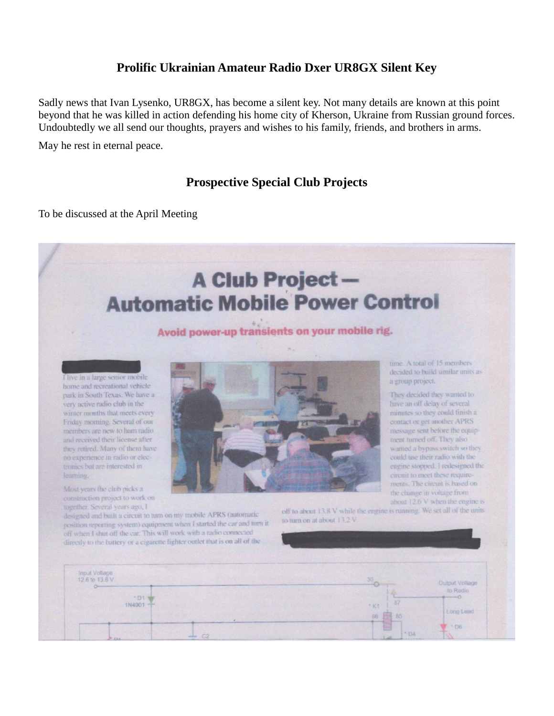#### **Prolific Ukrainian Amateur Radio Dxer UR8GX Silent Key**

Sadly news that Ivan Lysenko, UR8GX, has become a silent key. Not many details are known at this point beyond that he was killed in action defending his home city of Kherson, Ukraine from Russian ground forces. Undoubtedly we all send our thoughts, prayers and wishes to his family, friends, and brothers in arms.

May he rest in eternal peace.

#### **Prospective Special Club Projects**

To be discussed at the April Meeting

# **A Club Project-Automatic Mobile Power Control**

#### Avoid power-up transients on your mobile rig.



Most years the club picks a construction project to work on together. Several years ago, I



time. A total of 15 members decided to build similar units as a group project.

They decided they wanted to have an off delay of several minutes so they could finish a contact or get another APRS message sent before the equipment turned off. They also wanted a bypass switch so they could use their radio with the engine stopped. I redesigned the circuit to meet these requirements. The circuit is based on the change in voltage from about  $12.6$  V when the engine is

designed and built a circuit to turn on my mobile APRS (automatic position reporting system) equipment when I started the car and turn it off when I shut off the car. This will work with a radio connected directly to the battery or a cigarette lighter outlet that is on all of the

off to about 13.8 V while the engine is running. We set all of the units to turn on at about 13.2 V.

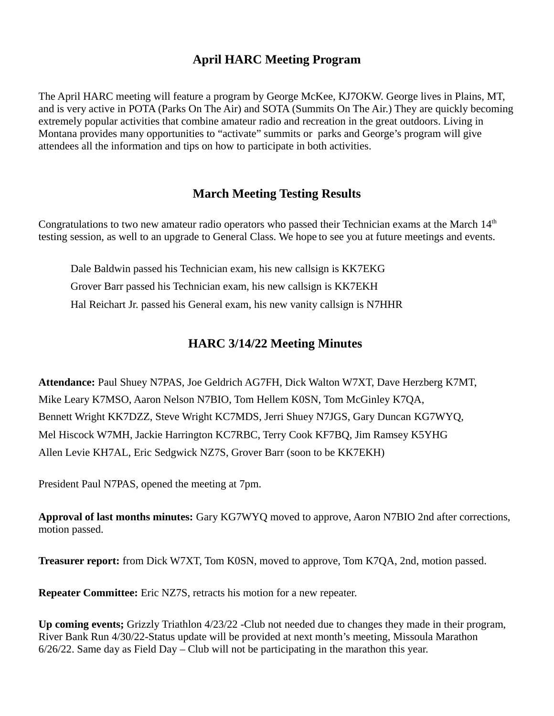#### **April HARC Meeting Program**

The April HARC meeting will feature a program by George McKee, KJ7OKW. George lives in Plains, MT, and is very active in POTA (Parks On The Air) and SOTA (Summits On The Air.) They are quickly becoming extremely popular activities that combine amateur radio and recreation in the great outdoors. Living in Montana provides many opportunities to "activate" summits or parks and George's program will give attendees all the information and tips on how to participate in both activities.

#### **March Meeting Testing Results**

Congratulations to two new amateur radio operators who passed their Technician exams at the March  $14<sup>th</sup>$ testing session, as well to an upgrade to General Class. We hope to see you at future meetings and events.

Dale Baldwin passed his Technician exam, his new callsign is KK7EKG Grover Barr passed his Technician exam, his new callsign is KK7EKH Hal Reichart Jr. passed his General exam, his new vanity callsign is N7HHR

#### **HARC 3/14/22 Meeting Minutes**

**Attendance:** Paul Shuey N7PAS, Joe Geldrich AG7FH, Dick Walton W7XT, Dave Herzberg K7MT, Mike Leary K7MSO, Aaron Nelson N7BIO, Tom Hellem K0SN, Tom McGinley K7QA, Bennett Wright KK7DZZ, Steve Wright KC7MDS, Jerri Shuey N7JGS, Gary Duncan KG7WYQ, Mel Hiscock W7MH, Jackie Harrington KC7RBC, Terry Cook KF7BQ, Jim Ramsey K5YHG Allen Levie KH7AL, Eric Sedgwick NZ7S, Grover Barr (soon to be KK7EKH)

President Paul N7PAS, opened the meeting at 7pm.

**Approval of last months minutes:** Gary KG7WYQ moved to approve, Aaron N7BIO 2nd after corrections, motion passed.

**Treasurer report:** from Dick W7XT, Tom K0SN, moved to approve, Tom K7QA, 2nd, motion passed.

**Repeater Committee:** Eric NZ7S, retracts his motion for a new repeater.

**Up coming events;** Grizzly Triathlon 4/23/22 -Club not needed due to changes they made in their program, River Bank Run 4/30/22-Status update will be provided at next month's meeting, Missoula Marathon 6/26/22. Same day as Field Day – Club will not be participating in the marathon this year.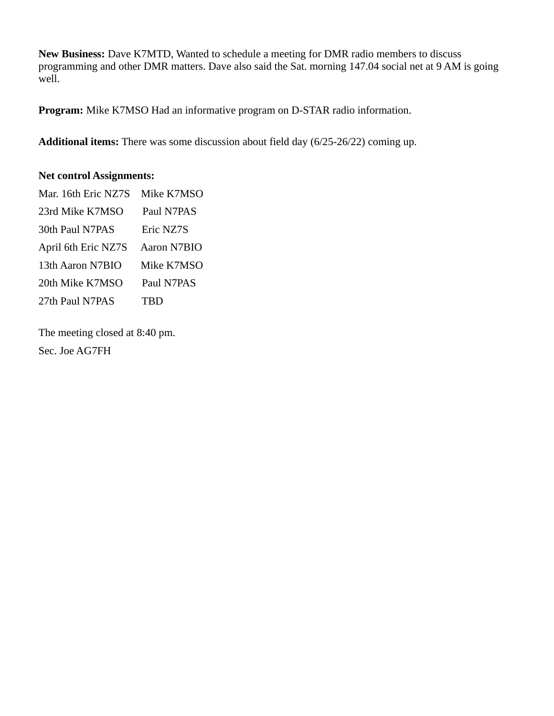**New Business:** Dave K7MTD, Wanted to schedule a meeting for DMR radio members to discuss programming and other DMR matters. Dave also said the Sat. morning 147.04 social net at 9 AM is going well.

**Program:** Mike K7MSO Had an informative program on D-STAR radio information.

**Additional items:** There was some discussion about field day (6/25-26/22) coming up.

#### **Net control Assignments:**

| Mar. 16th Eric NZ7S | Mike K7MSO  |
|---------------------|-------------|
| 23rd Mike K7MSO     | Paul N7PAS  |
| 30th Paul N7PAS     | Eric NZ7S   |
| April 6th Eric NZ7S | Aaron N7BIO |
| 13th Aaron N7BIO    | Mike K7MSO  |
| 20th Mike K7MSO     | Paul N7PAS  |
| 27th Paul N7PAS     | TBD         |

The meeting closed at 8:40 pm. Sec. Joe AG7FH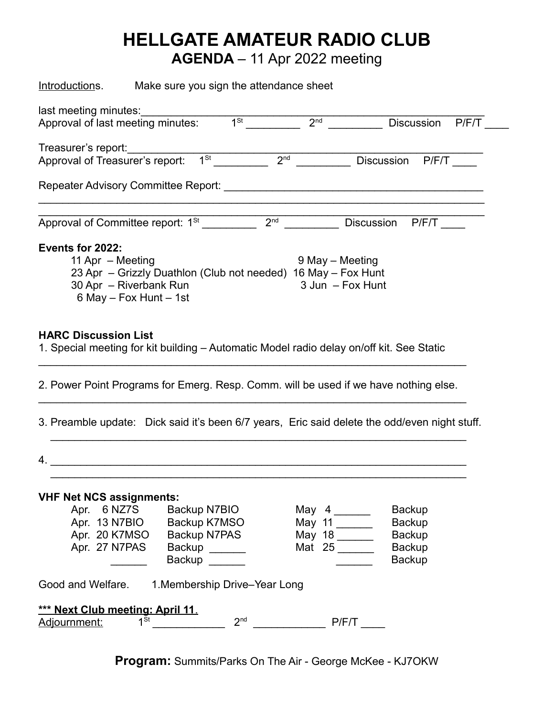# **HELLGATE AMATEUR RADIO CLUB**

**AGENDA** – 11 Apr 2022 meeting

| Introductions.                                                                                                          | Make sure you sign the attendance sheet                       |                       |                                                |                   |                  |  |
|-------------------------------------------------------------------------------------------------------------------------|---------------------------------------------------------------|-----------------------|------------------------------------------------|-------------------|------------------|--|
| last meeting minutes:<br>Approval of last meeting minutes:                                                              |                                                               | 1 <sup>St</sup>       | 2 <sup>nd</sup>                                |                   | Discussion P/F/T |  |
|                                                                                                                         |                                                               |                       |                                                |                   |                  |  |
| Treasurer's report:<br>Approval of Treasurer's report:                                                                  |                                                               | $1St$ 2 <sup>nd</sup> |                                                | <b>Discussion</b> | P/F/T            |  |
|                                                                                                                         |                                                               |                       |                                                |                   |                  |  |
|                                                                                                                         |                                                               |                       |                                                | Discussion        | P/F/T            |  |
| Events for 2022:                                                                                                        |                                                               |                       |                                                |                   |                  |  |
| 11 Apr - Meeting                                                                                                        | 23 Apr - Grizzly Duathlon (Club not needed) 16 May - Fox Hunt |                       | 9 May - Meeting                                |                   |                  |  |
| 30 Apr - Riverbank Run                                                                                                  |                                                               |                       |                                                | 3 Jun - Fox Hunt  |                  |  |
|                                                                                                                         | 6 May $-$ Fox Hunt $-$ 1st                                    |                       |                                                |                   |                  |  |
|                                                                                                                         |                                                               |                       |                                                |                   |                  |  |
| <b>HARC Discussion List</b><br>1. Special meeting for kit building - Automatic Model radio delay on/off kit. See Static |                                                               |                       |                                                |                   |                  |  |
| 2. Power Point Programs for Emerg. Resp. Comm. will be used if we have nothing else.                                    |                                                               |                       |                                                |                   |                  |  |
| 3. Preamble update: Dick said it's been 6/7 years, Eric said delete the odd/even night stuff.                           |                                                               |                       |                                                |                   |                  |  |
| 4.                                                                                                                      |                                                               |                       |                                                |                   |                  |  |
| <b>VHF Net NCS assignments:</b>                                                                                         |                                                               |                       |                                                |                   |                  |  |
|                                                                                                                         | Apr. 6 NZ7S Backup N7BIO                                      |                       | May $4 \_\_\_\_\_\_\_\_\_\_\_\_\_\_\_\_\_\_\_$ |                   | <b>Backup</b>    |  |
|                                                                                                                         | Apr. 13 N7BIO Backup K7MSO                                    |                       | May 11                                         |                   | <b>Backup</b>    |  |
|                                                                                                                         | Apr. 20 K7MSO Backup N7PAS                                    |                       | May 18                                         |                   | <b>Backup</b>    |  |
|                                                                                                                         | Apr. 27 N7PAS Backup ______                                   |                       | Mat 25                                         |                   | <b>Backup</b>    |  |
|                                                                                                                         | Backup ______                                                 |                       |                                                |                   | <b>Backup</b>    |  |
| Good and Welfare. 1. Membership Drive-Year Long                                                                         |                                                               |                       |                                                |                   |                  |  |
| *** Next Club meeting: April 11.                                                                                        |                                                               |                       |                                                |                   |                  |  |
| <u> Adjournment:</u>                                                                                                    |                                                               |                       |                                                |                   |                  |  |
|                                                                                                                         |                                                               |                       |                                                |                   |                  |  |

**Program:** Summits/Parks On The Air - George McKee - KJ7OKW